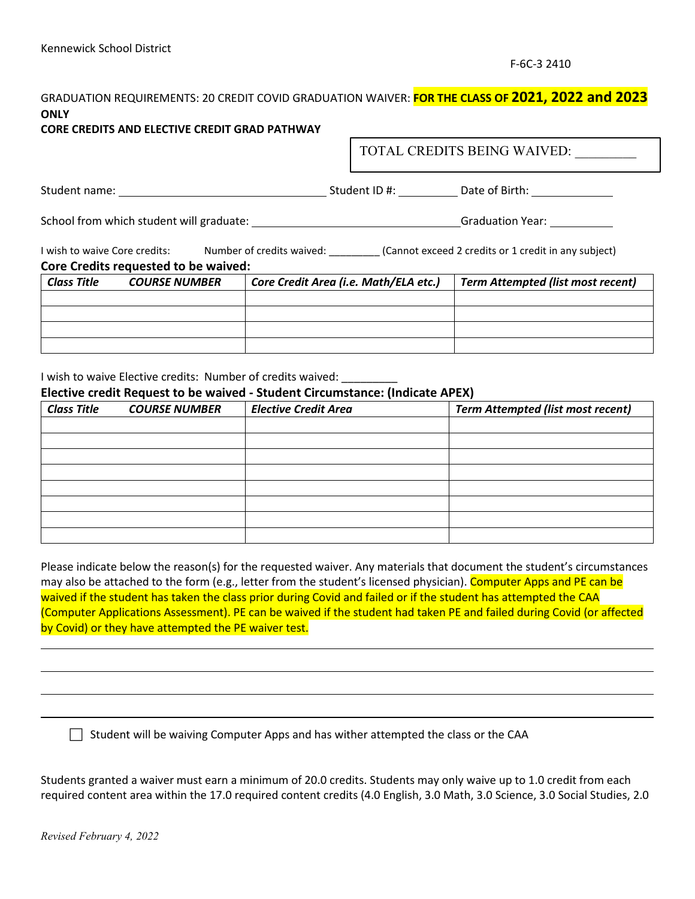## GRADUATION REQUIREMENTS: 20 CREDIT COVID GRADUATION WAIVER: **FOR THE CLASS OF 2021, 2022 and 2023 ONLY**

#### **CORE CREDITS AND ELECTIVE CREDIT GRAD PATHWAY**

TOTAL CREDITS BEING WAIVED:

Student name: Student ID #: Date of Birth:

School from which student will graduate: Graduation Year:

I wish to waive Core credits: Mumber of credits waived: (Cannot exceed 2 credits or 1 credit in any subject)

#### **Core Credits requested to be waived:**

| Class Title | <b>COURSE NUMBER</b> | Core Credit Area (i.e. Math/ELA etc.) | <b>Term Attempted (list most recent)</b> |
|-------------|----------------------|---------------------------------------|------------------------------------------|
|             |                      |                                       |                                          |
|             |                      |                                       |                                          |
|             |                      |                                       |                                          |
|             |                      |                                       |                                          |

I wish to waive Elective credits: Number of credits waived:

**Elective credit Request to be waived - Student Circumstance: (Indicate APEX)**

| <b>Class Title</b> | <b>COURSE NUMBER</b> | <b>Elective Credit Area</b> | <b>Term Attempted (list most recent)</b> |
|--------------------|----------------------|-----------------------------|------------------------------------------|
|                    |                      |                             |                                          |
|                    |                      |                             |                                          |
|                    |                      |                             |                                          |
|                    |                      |                             |                                          |
|                    |                      |                             |                                          |
|                    |                      |                             |                                          |
|                    |                      |                             |                                          |
|                    |                      |                             |                                          |

Please indicate below the reason(s) for the requested waiver. Any materials that document the student's circumstances may also be attached to the form (e.g., letter from the student's licensed physician). Computer Apps and PE can be waived if the student has taken the class prior during Covid and failed or if the student has attempted the CAA (Computer Applications Assessment). PE can be waived if the student had taken PE and failed during Covid (or affected by Covid) or they have attempted the PE waiver test.

 $\Box$  Student will be waiving Computer Apps and has wither attempted the class or the CAA

Students granted a waiver must earn a minimum of 20.0 credits. Students may only waive up to 1.0 credit from each required content area within the 17.0 required content credits (4.0 English, 3.0 Math, 3.0 Science, 3.0 Social Studies, 2.0

L

L

L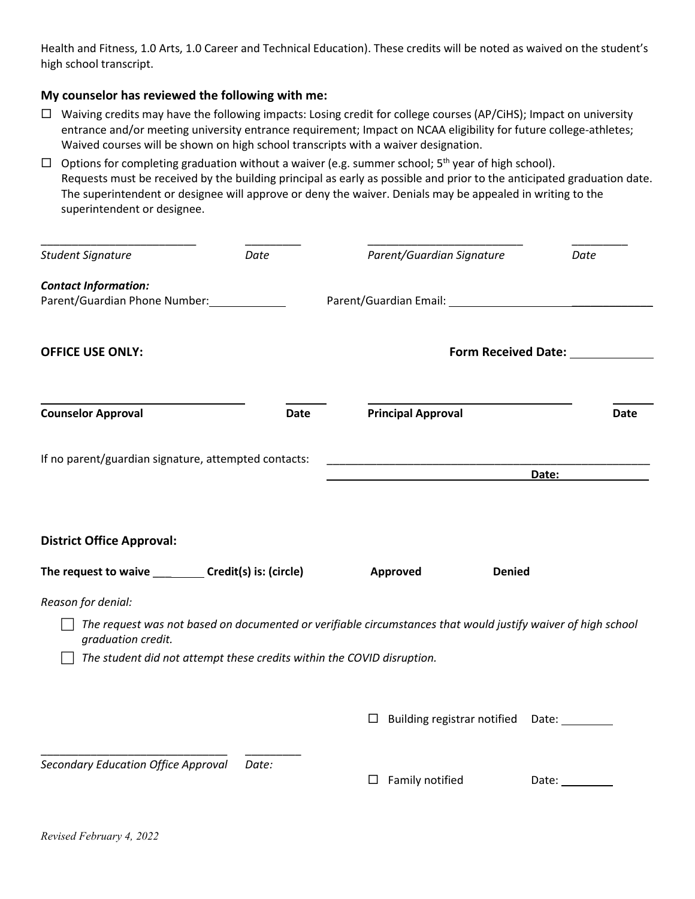Health and Fitness, 1.0 Arts, 1.0 Career and Technical Education). These credits will be noted as waived on the student's high school transcript.

### **My counselor has reviewed the following with me:**

 $\Box$  Waiving credits may have the following impacts: Losing credit for college courses (AP/CiHS); Impact on university entrance and/or meeting university entrance requirement; Impact on NCAA eligibility for future college-athletes; Waived courses will be shown on high school transcripts with a waiver designation.

 $\Box$  Options for completing graduation without a waiver (e.g. summer school;  $5<sup>th</sup>$  year of high school). Requests must be received by the building principal as early as possible and prior to the anticipated graduation date. The superintendent or designee will approve or deny the waiver. Denials may be appealed in writing to the superintendent or designee.

| <b>Student Signature</b>                                                                     | Date        | Parent/Guardian Signature                                                                                                      | Date                                                                                                           |  |  |
|----------------------------------------------------------------------------------------------|-------------|--------------------------------------------------------------------------------------------------------------------------------|----------------------------------------------------------------------------------------------------------------|--|--|
| <b>Contact Information:</b><br>Parent/Guardian Phone Number: 1997                            |             |                                                                                                                                |                                                                                                                |  |  |
| <b>OFFICE USE ONLY:</b>                                                                      |             |                                                                                                                                | Form Received Date: Marken Market                                                                              |  |  |
| <b>Counselor Approval</b>                                                                    | <b>Date</b> | <b>Principal Approval</b>                                                                                                      | <b>Date</b>                                                                                                    |  |  |
| If no parent/guardian signature, attempted contacts:                                         |             | <u> 1989 - Johann John Stone, markin film yn y system yn y system yn y system yn y system yn y system yn y system</u><br>Date: |                                                                                                                |  |  |
| <b>District Office Approval:</b>                                                             |             |                                                                                                                                |                                                                                                                |  |  |
| The request to waive __________ Credit(s) is: (circle)                                       |             | Approved                                                                                                                       | <b>Denied</b>                                                                                                  |  |  |
| Reason for denial:                                                                           |             |                                                                                                                                |                                                                                                                |  |  |
| graduation credit.<br>The student did not attempt these credits within the COVID disruption. |             | The request was not based on documented or verifiable circumstances that would justify waiver of high school                   |                                                                                                                |  |  |
|                                                                                              |             | Building registrar notified<br>$\Box$                                                                                          | Date: and the state of the state of the state of the state of the state of the state of the state of the state |  |  |
| Secondary Education Office Approval                                                          | Date:       | Family notified<br>ப                                                                                                           | Date: $\_\_$                                                                                                   |  |  |